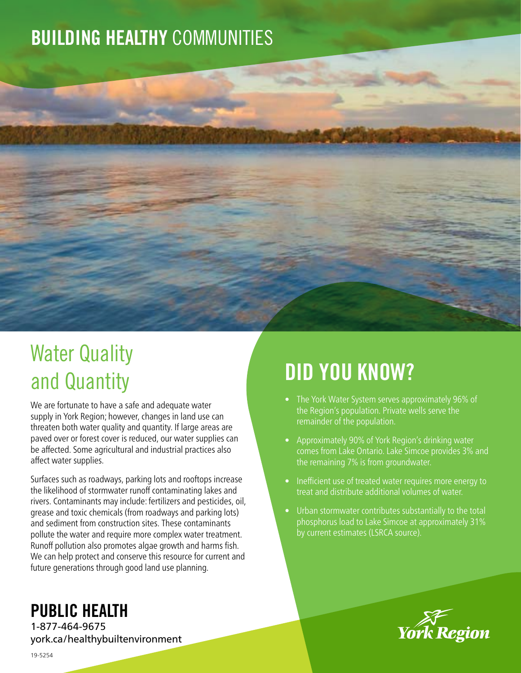## BUILDING HEALTHY COMMUNITIES



## Water Quality and Quantity

We are fortunate to have a safe and adequate water supply in York Region; however, changes in land use can threaten both water quality and quantity. If large areas are paved over or forest cover is reduced, our water supplies can be affected. Some agricultural and industrial practices also affect water supplies.

Surfaces such as roadways, parking lots and rooftops increase the likelihood of stormwater runoff contaminating lakes and rivers. Contaminants may include: fertilizers and pesticides, oil, grease and toxic chemicals (from roadways and parking lots) and sediment from construction sites. These contaminants pollute the water and require more complex water treatment. Runoff pollution also promotes algae growth and harms fish. We can help protect and conserve this resource for current and future generations through good land use planning.

# DID YOU KNOW?

- The York Water System serves approximately 96% of the Region's population. Private wells serve the remainder of the population.
- Approximately 90% of York Region's drinking water comes from Lake Ontario. Lake Simcoe provides 3% and the remaining 7% is from groundwater.
- Inefficient use of treated water requires more energy to treat and distribute additional volumes of water.
- Urban stormwater contributes substantially to the total phosphorus load to Lake Simcoe at approximately 31% by current estimates (LSRCA source).



### PUBLIC HEALTH

1-877-464-9675 york.ca/healthybuiltenvironment